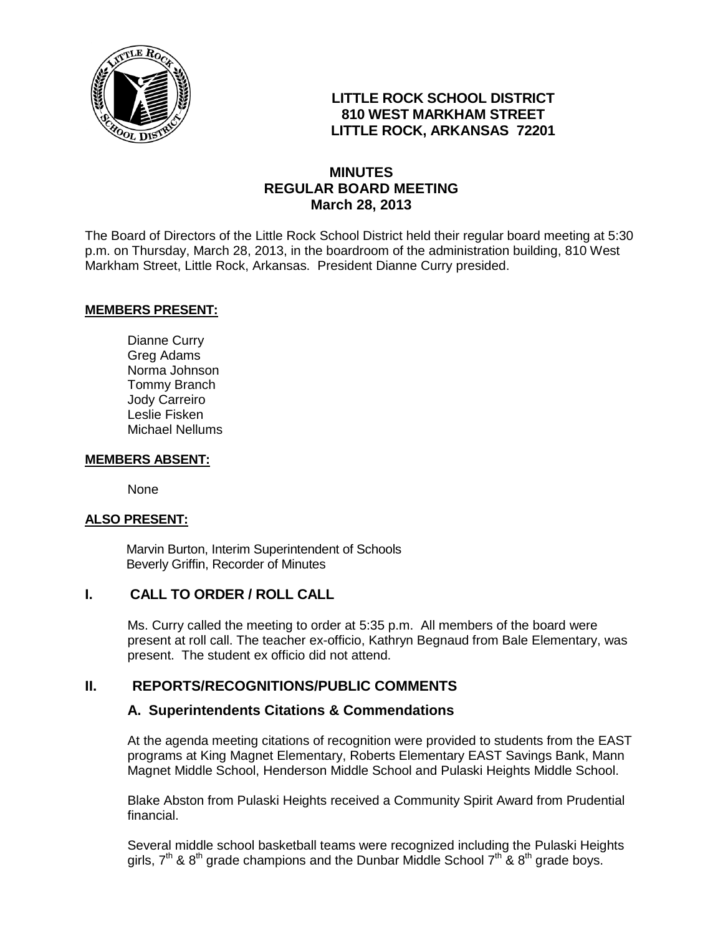

# **LITTLE ROCK SCHOOL DISTRICT 810 WEST MARKHAM STREET LITTLE ROCK, ARKANSAS 72201**

## **MINUTES REGULAR BOARD MEETING March 28, 2013**

The Board of Directors of the Little Rock School District held their regular board meeting at 5:30 p.m. on Thursday, March 28, 2013, in the boardroom of the administration building, 810 West Markham Street, Little Rock, Arkansas. President Dianne Curry presided.

#### **MEMBERS PRESENT:**

Dianne Curry Greg Adams Norma Johnson Tommy Branch Jody Carreiro Leslie Fisken Michael Nellums

#### **MEMBERS ABSENT:**

None

#### **ALSO PRESENT:**

 Marvin Burton, Interim Superintendent of Schools Beverly Griffin, Recorder of Minutes

### **I. CALL TO ORDER / ROLL CALL**

Ms. Curry called the meeting to order at 5:35 p.m. All members of the board were present at roll call. The teacher ex-officio, Kathryn Begnaud from Bale Elementary, was present. The student ex officio did not attend.

### **II. REPORTS/RECOGNITIONS/PUBLIC COMMENTS**

#### **A. Superintendents Citations & Commendations**

At the agenda meeting citations of recognition were provided to students from the EAST programs at King Magnet Elementary, Roberts Elementary EAST Savings Bank, Mann Magnet Middle School, Henderson Middle School and Pulaski Heights Middle School.

Blake Abston from Pulaski Heights received a Community Spirit Award from Prudential financial.

Several middle school basketball teams were recognized including the Pulaski Heights girls,  $7<sup>th</sup>$  & 8<sup>th</sup> grade champions and the Dunbar Middle School  $7<sup>th</sup>$  & 8<sup>th</sup> grade boys.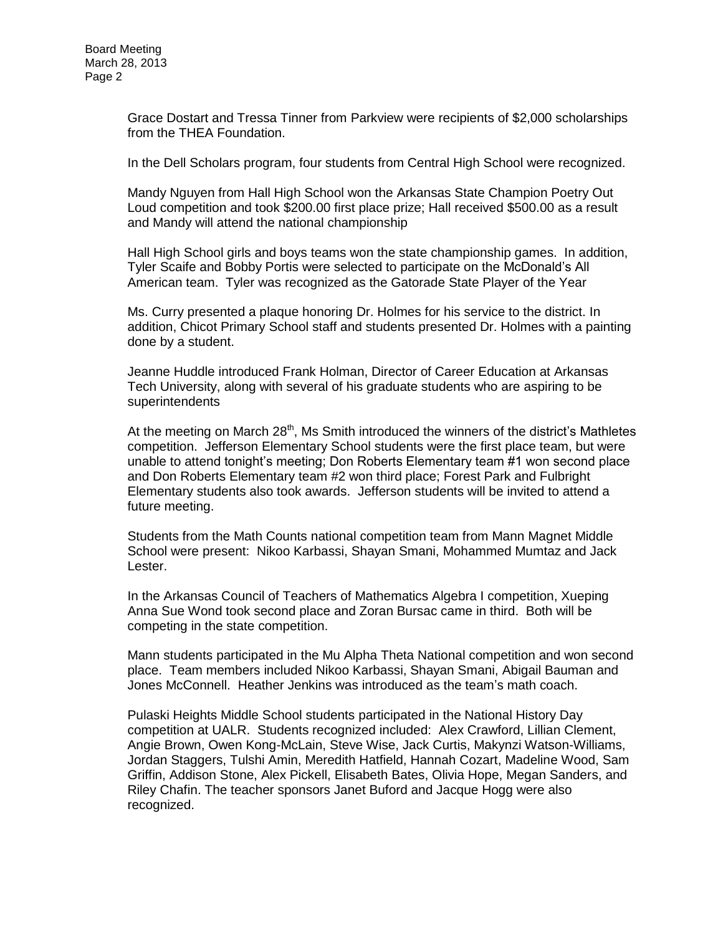Grace Dostart and Tressa Tinner from Parkview were recipients of \$2,000 scholarships from the THEA Foundation.

In the Dell Scholars program, four students from Central High School were recognized.

Mandy Nguyen from Hall High School won the Arkansas State Champion Poetry Out Loud competition and took \$200.00 first place prize; Hall received \$500.00 as a result and Mandy will attend the national championship

Hall High School girls and boys teams won the state championship games. In addition, Tyler Scaife and Bobby Portis were selected to participate on the McDonald's All American team. Tyler was recognized as the Gatorade State Player of the Year

Ms. Curry presented a plaque honoring Dr. Holmes for his service to the district. In addition, Chicot Primary School staff and students presented Dr. Holmes with a painting done by a student.

Jeanne Huddle introduced Frank Holman, Director of Career Education at Arkansas Tech University, along with several of his graduate students who are aspiring to be **superintendents** 

At the meeting on March  $28<sup>th</sup>$ , Ms Smith introduced the winners of the district's Mathletes competition. Jefferson Elementary School students were the first place team, but were unable to attend tonight's meeting; Don Roberts Elementary team #1 won second place and Don Roberts Elementary team #2 won third place; Forest Park and Fulbright Elementary students also took awards. Jefferson students will be invited to attend a future meeting.

Students from the Math Counts national competition team from Mann Magnet Middle School were present: Nikoo Karbassi, Shayan Smani, Mohammed Mumtaz and Jack Lester.

In the Arkansas Council of Teachers of Mathematics Algebra I competition, Xueping Anna Sue Wond took second place and Zoran Bursac came in third. Both will be competing in the state competition.

Mann students participated in the Mu Alpha Theta National competition and won second place. Team members included Nikoo Karbassi, Shayan Smani, Abigail Bauman and Jones McConnell. Heather Jenkins was introduced as the team's math coach.

Pulaski Heights Middle School students participated in the National History Day competition at UALR. Students recognized included: Alex Crawford, Lillian Clement, Angie Brown, Owen Kong-McLain, Steve Wise, Jack Curtis, Makynzi Watson-Williams, Jordan Staggers, Tulshi Amin, Meredith Hatfield, Hannah Cozart, Madeline Wood, Sam Griffin, Addison Stone, Alex Pickell, Elisabeth Bates, Olivia Hope, Megan Sanders, and Riley Chafin. The teacher sponsors Janet Buford and Jacque Hogg were also recognized.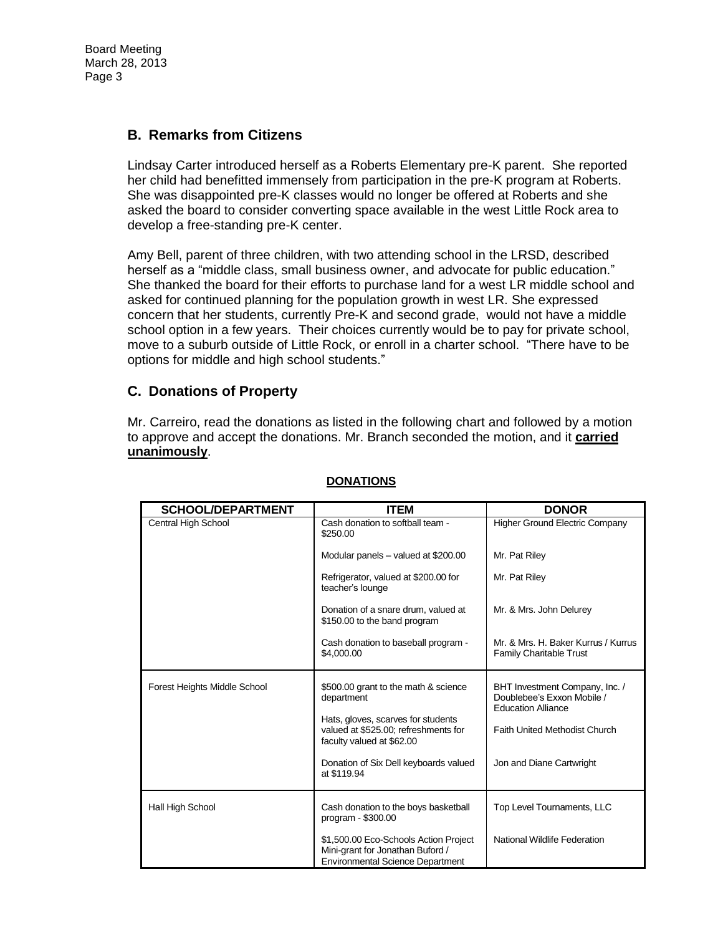Board Meeting March 28, 2013 Page 3

#### **B. Remarks from Citizens**

Lindsay Carter introduced herself as a Roberts Elementary pre-K parent. She reported her child had benefitted immensely from participation in the pre-K program at Roberts. She was disappointed pre-K classes would no longer be offered at Roberts and she asked the board to consider converting space available in the west Little Rock area to develop a free-standing pre-K center.

Amy Bell, parent of three children, with two attending school in the LRSD, described herself as a "middle class, small business owner, and advocate for public education." She thanked the board for their efforts to purchase land for a west LR middle school and asked for continued planning for the population growth in west LR. She expressed concern that her students, currently Pre-K and second grade, would not have a middle school option in a few years. Their choices currently would be to pay for private school, move to a suburb outside of Little Rock, or enroll in a charter school. "There have to be options for middle and high school students."

#### **C. Donations of Property**

Mr. Carreiro, read the donations as listed in the following chart and followed by a motion to approve and accept the donations. Mr. Branch seconded the motion, and it **carried unanimously**.

| <b>SCHOOL/DEPARTMENT</b>     | <b>ITEM</b>                                                                                                          | <b>DONOR</b>                                                                              |
|------------------------------|----------------------------------------------------------------------------------------------------------------------|-------------------------------------------------------------------------------------------|
| Central High School          | Cash donation to softball team -<br>\$250.00                                                                         | <b>Higher Ground Electric Company</b>                                                     |
|                              | Modular panels - valued at \$200.00                                                                                  | Mr. Pat Riley                                                                             |
|                              | Refrigerator, valued at \$200.00 for<br>teacher's lounge                                                             | Mr. Pat Riley                                                                             |
|                              | Donation of a snare drum, valued at<br>\$150.00 to the band program                                                  | Mr. & Mrs. John Delurey                                                                   |
|                              | Cash donation to baseball program -<br>\$4,000.00                                                                    | Mr. & Mrs. H. Baker Kurrus / Kurrus<br><b>Family Charitable Trust</b>                     |
| Forest Heights Middle School | \$500.00 grant to the math & science<br>department                                                                   | BHT Investment Company, Inc. /<br>Doublebee's Exxon Mobile /<br><b>Education Alliance</b> |
|                              | Hats, gloves, scarves for students<br>valued at \$525.00; refreshments for<br>faculty valued at \$62.00              | <b>Faith United Methodist Church</b>                                                      |
|                              | Donation of Six Dell keyboards valued<br>at \$119.94                                                                 | Jon and Diane Cartwright                                                                  |
| Hall High School             | Cash donation to the boys basketball<br>program - \$300.00                                                           | Top Level Tournaments, LLC                                                                |
|                              | \$1,500.00 Eco-Schools Action Project<br>Mini-grant for Jonathan Buford /<br><b>Environmental Science Department</b> | National Wildlife Federation                                                              |

#### **DONATIONS**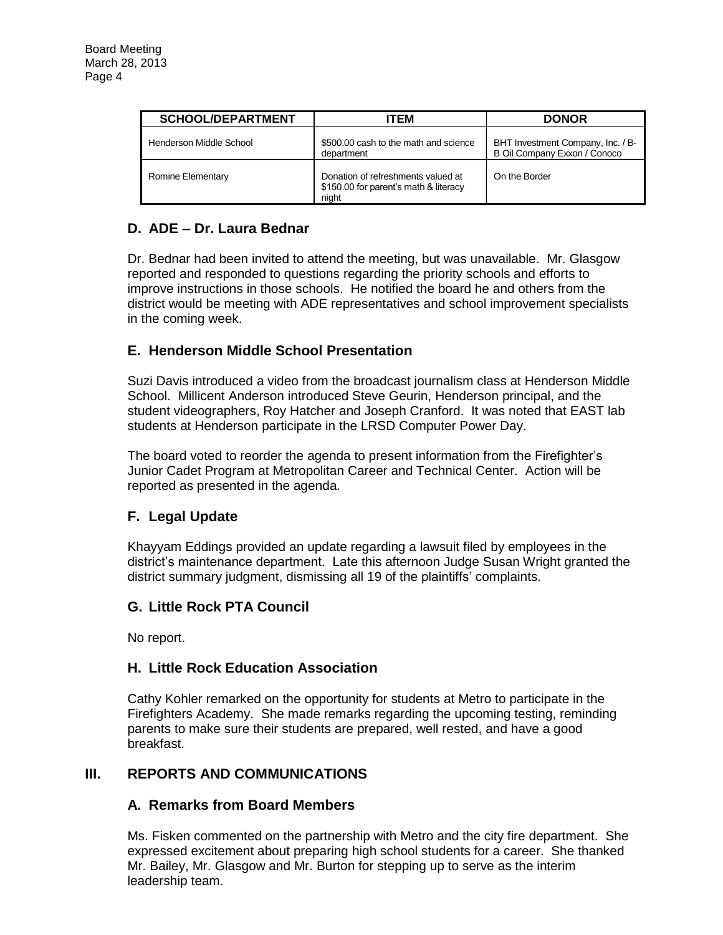| <b>SCHOOL/DEPARTMENT</b> | ITEM                                                                                 | <b>DONOR</b>                                                      |
|--------------------------|--------------------------------------------------------------------------------------|-------------------------------------------------------------------|
| Henderson Middle School  | \$500.00 cash to the math and science<br>department                                  | BHT Investment Company, Inc. / B-<br>B Oil Company Exxon / Conoco |
| Romine Elementary        | Donation of refreshments valued at<br>\$150.00 for parent's math & literacy<br>night | On the Border                                                     |

# **D. ADE – Dr. Laura Bednar**

Dr. Bednar had been invited to attend the meeting, but was unavailable. Mr. Glasgow reported and responded to questions regarding the priority schools and efforts to improve instructions in those schools. He notified the board he and others from the district would be meeting with ADE representatives and school improvement specialists in the coming week.

# **E. Henderson Middle School Presentation**

Suzi Davis introduced a video from the broadcast journalism class at Henderson Middle School. Millicent Anderson introduced Steve Geurin, Henderson principal, and the student videographers, Roy Hatcher and Joseph Cranford. It was noted that EAST lab students at Henderson participate in the LRSD Computer Power Day.

The board voted to reorder the agenda to present information from the Firefighter's Junior Cadet Program at Metropolitan Career and Technical Center. Action will be reported as presented in the agenda.

# **F. Legal Update**

Khayyam Eddings provided an update regarding a lawsuit filed by employees in the district's maintenance department. Late this afternoon Judge Susan Wright granted the district summary judgment, dismissing all 19 of the plaintiffs' complaints.

### **G. Little Rock PTA Council**

No report.

### **H. Little Rock Education Association**

Cathy Kohler remarked on the opportunity for students at Metro to participate in the Firefighters Academy. She made remarks regarding the upcoming testing, reminding parents to make sure their students are prepared, well rested, and have a good breakfast.

### **III. REPORTS AND COMMUNICATIONS**

### **A. Remarks from Board Members**

Ms. Fisken commented on the partnership with Metro and the city fire department. She expressed excitement about preparing high school students for a career. She thanked Mr. Bailey, Mr. Glasgow and Mr. Burton for stepping up to serve as the interim leadership team.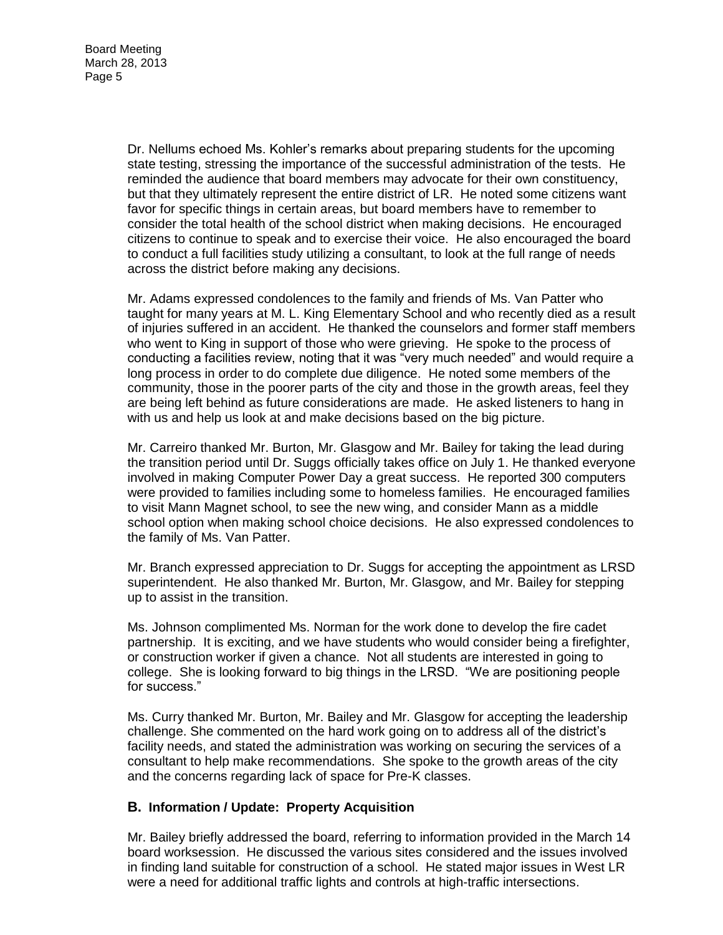Dr. Nellums echoed Ms. Kohler's remarks about preparing students for the upcoming state testing, stressing the importance of the successful administration of the tests. He reminded the audience that board members may advocate for their own constituency, but that they ultimately represent the entire district of LR. He noted some citizens want favor for specific things in certain areas, but board members have to remember to consider the total health of the school district when making decisions. He encouraged citizens to continue to speak and to exercise their voice. He also encouraged the board to conduct a full facilities study utilizing a consultant, to look at the full range of needs across the district before making any decisions.

Mr. Adams expressed condolences to the family and friends of Ms. Van Patter who taught for many years at M. L. King Elementary School and who recently died as a result of injuries suffered in an accident. He thanked the counselors and former staff members who went to King in support of those who were grieving. He spoke to the process of conducting a facilities review, noting that it was "very much needed" and would require a long process in order to do complete due diligence. He noted some members of the community, those in the poorer parts of the city and those in the growth areas, feel they are being left behind as future considerations are made. He asked listeners to hang in with us and help us look at and make decisions based on the big picture.

Mr. Carreiro thanked Mr. Burton, Mr. Glasgow and Mr. Bailey for taking the lead during the transition period until Dr. Suggs officially takes office on July 1. He thanked everyone involved in making Computer Power Day a great success. He reported 300 computers were provided to families including some to homeless families. He encouraged families to visit Mann Magnet school, to see the new wing, and consider Mann as a middle school option when making school choice decisions. He also expressed condolences to the family of Ms. Van Patter.

Mr. Branch expressed appreciation to Dr. Suggs for accepting the appointment as LRSD superintendent. He also thanked Mr. Burton, Mr. Glasgow, and Mr. Bailey for stepping up to assist in the transition.

Ms. Johnson complimented Ms. Norman for the work done to develop the fire cadet partnership. It is exciting, and we have students who would consider being a firefighter, or construction worker if given a chance. Not all students are interested in going to college. She is looking forward to big things in the LRSD. "We are positioning people for success."

Ms. Curry thanked Mr. Burton, Mr. Bailey and Mr. Glasgow for accepting the leadership challenge. She commented on the hard work going on to address all of the district's facility needs, and stated the administration was working on securing the services of a consultant to help make recommendations. She spoke to the growth areas of the city and the concerns regarding lack of space for Pre-K classes.

#### **B. Information / Update: Property Acquisition**

Mr. Bailey briefly addressed the board, referring to information provided in the March 14 board worksession. He discussed the various sites considered and the issues involved in finding land suitable for construction of a school. He stated major issues in West LR were a need for additional traffic lights and controls at high-traffic intersections.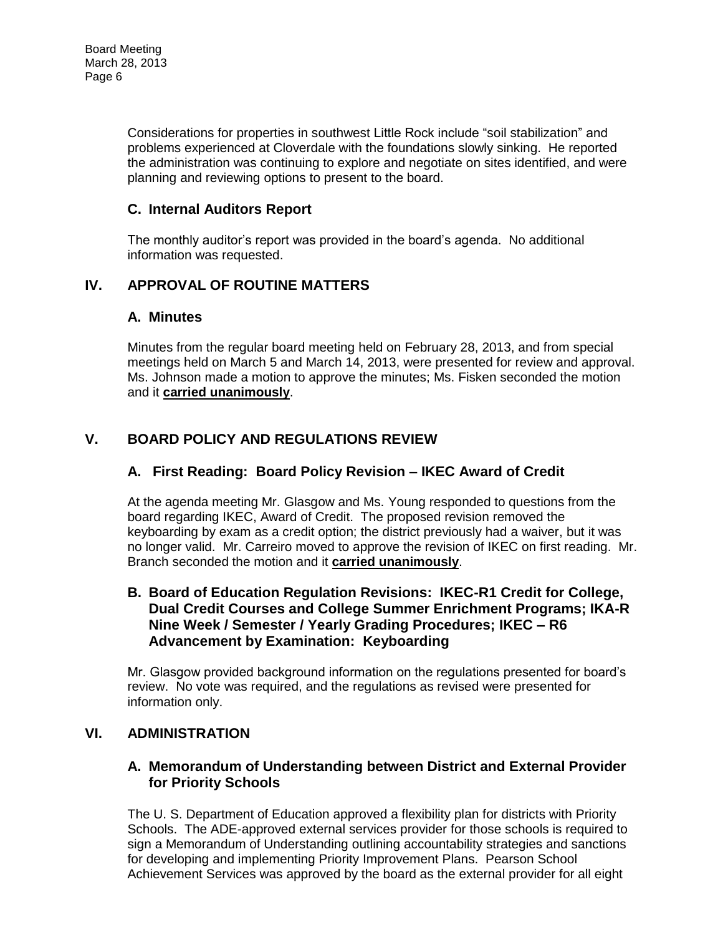Considerations for properties in southwest Little Rock include "soil stabilization" and problems experienced at Cloverdale with the foundations slowly sinking. He reported the administration was continuing to explore and negotiate on sites identified, and were planning and reviewing options to present to the board.

## **C. Internal Auditors Report**

The monthly auditor's report was provided in the board's agenda. No additional information was requested.

# **IV. APPROVAL OF ROUTINE MATTERS**

### **A. Minutes**

Minutes from the regular board meeting held on February 28, 2013, and from special meetings held on March 5 and March 14, 2013, were presented for review and approval. Ms. Johnson made a motion to approve the minutes; Ms. Fisken seconded the motion and it **carried unanimously**.

# **V. BOARD POLICY AND REGULATIONS REVIEW**

### **A. First Reading: Board Policy Revision – IKEC Award of Credit**

At the agenda meeting Mr. Glasgow and Ms. Young responded to questions from the board regarding IKEC, Award of Credit. The proposed revision removed the keyboarding by exam as a credit option; the district previously had a waiver, but it was no longer valid. Mr. Carreiro moved to approve the revision of IKEC on first reading. Mr. Branch seconded the motion and it **carried unanimously**.

#### **B. Board of Education Regulation Revisions: IKEC-R1 Credit for College, Dual Credit Courses and College Summer Enrichment Programs; IKA-R Nine Week / Semester / Yearly Grading Procedures; IKEC – R6 Advancement by Examination: Keyboarding**

Mr. Glasgow provided background information on the regulations presented for board's review. No vote was required, and the regulations as revised were presented for information only.

### **VI. ADMINISTRATION**

#### **A. Memorandum of Understanding between District and External Provider for Priority Schools**

The U. S. Department of Education approved a flexibility plan for districts with Priority Schools. The ADE-approved external services provider for those schools is required to sign a Memorandum of Understanding outlining accountability strategies and sanctions for developing and implementing Priority Improvement Plans. Pearson School Achievement Services was approved by the board as the external provider for all eight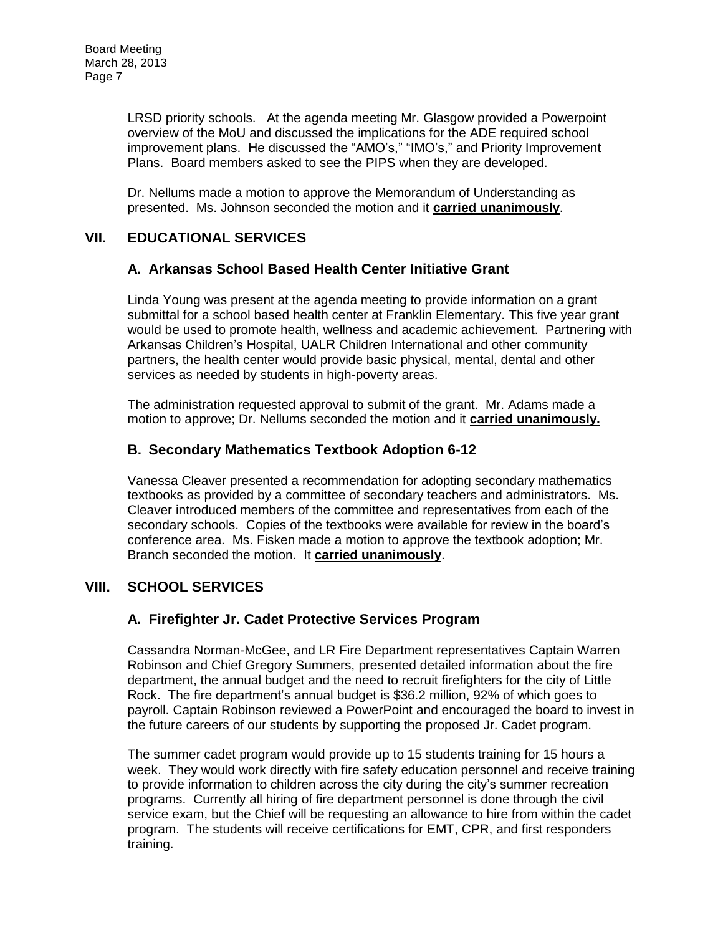LRSD priority schools. At the agenda meeting Mr. Glasgow provided a Powerpoint overview of the MoU and discussed the implications for the ADE required school improvement plans. He discussed the "AMO's," "IMO's," and Priority Improvement Plans. Board members asked to see the PIPS when they are developed.

Dr. Nellums made a motion to approve the Memorandum of Understanding as presented. Ms. Johnson seconded the motion and it **carried unanimously**.

### **VII. EDUCATIONAL SERVICES**

#### **A. Arkansas School Based Health Center Initiative Grant**

Linda Young was present at the agenda meeting to provide information on a grant submittal for a school based health center at Franklin Elementary. This five year grant would be used to promote health, wellness and academic achievement. Partnering with Arkansas Children's Hospital, UALR Children International and other community partners, the health center would provide basic physical, mental, dental and other services as needed by students in high-poverty areas.

The administration requested approval to submit of the grant. Mr. Adams made a motion to approve; Dr. Nellums seconded the motion and it **carried unanimously.** 

### **B. Secondary Mathematics Textbook Adoption 6-12**

Vanessa Cleaver presented a recommendation for adopting secondary mathematics textbooks as provided by a committee of secondary teachers and administrators. Ms. Cleaver introduced members of the committee and representatives from each of the secondary schools. Copies of the textbooks were available for review in the board's conference area. Ms. Fisken made a motion to approve the textbook adoption; Mr. Branch seconded the motion. It **carried unanimously**.

### **VIII. SCHOOL SERVICES**

### **A. Firefighter Jr. Cadet Protective Services Program**

Cassandra Norman-McGee, and LR Fire Department representatives Captain Warren Robinson and Chief Gregory Summers, presented detailed information about the fire department, the annual budget and the need to recruit firefighters for the city of Little Rock. The fire department's annual budget is \$36.2 million, 92% of which goes to payroll. Captain Robinson reviewed a PowerPoint and encouraged the board to invest in the future careers of our students by supporting the proposed Jr. Cadet program.

The summer cadet program would provide up to 15 students training for 15 hours a week. They would work directly with fire safety education personnel and receive training to provide information to children across the city during the city's summer recreation programs. Currently all hiring of fire department personnel is done through the civil service exam, but the Chief will be requesting an allowance to hire from within the cadet program. The students will receive certifications for EMT, CPR, and first responders training.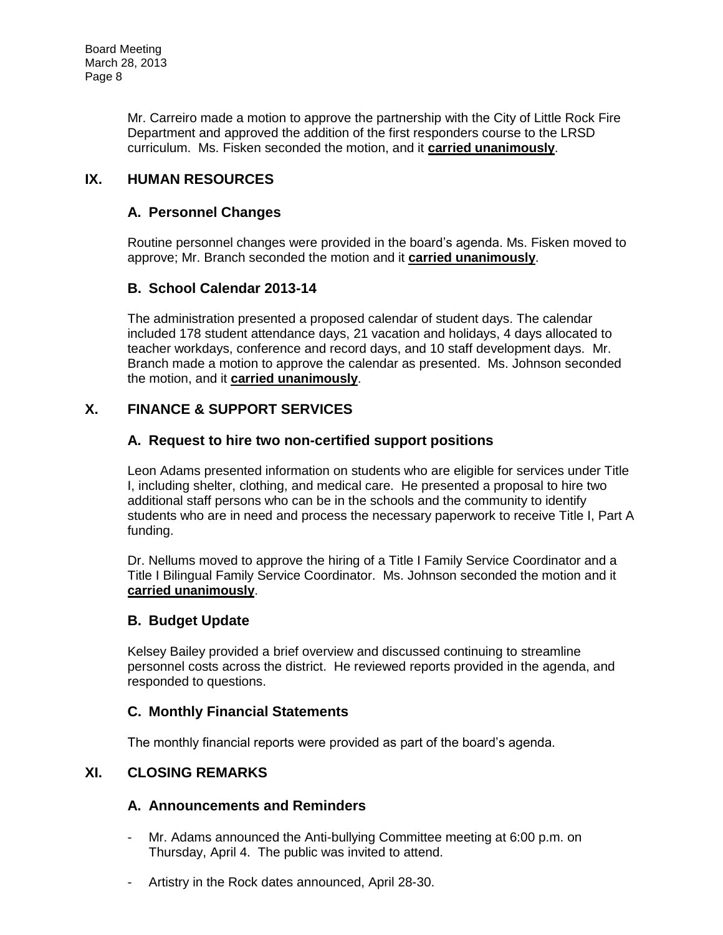Mr. Carreiro made a motion to approve the partnership with the City of Little Rock Fire Department and approved the addition of the first responders course to the LRSD curriculum. Ms. Fisken seconded the motion, and it **carried unanimously**.

# **IX. HUMAN RESOURCES**

### **A. Personnel Changes**

Routine personnel changes were provided in the board's agenda. Ms. Fisken moved to approve; Mr. Branch seconded the motion and it **carried unanimously**.

# **B. School Calendar 2013-14**

The administration presented a proposed calendar of student days. The calendar included 178 student attendance days, 21 vacation and holidays, 4 days allocated to teacher workdays, conference and record days, and 10 staff development days. Mr. Branch made a motion to approve the calendar as presented. Ms. Johnson seconded the motion, and it **carried unanimously**.

### **X. FINANCE & SUPPORT SERVICES**

### **A. Request to hire two non-certified support positions**

Leon Adams presented information on students who are eligible for services under Title I, including shelter, clothing, and medical care. He presented a proposal to hire two additional staff persons who can be in the schools and the community to identify students who are in need and process the necessary paperwork to receive Title I, Part A funding.

Dr. Nellums moved to approve the hiring of a Title I Family Service Coordinator and a Title I Bilingual Family Service Coordinator. Ms. Johnson seconded the motion and it **carried unanimously**.

### **B. Budget Update**

Kelsey Bailey provided a brief overview and discussed continuing to streamline personnel costs across the district. He reviewed reports provided in the agenda, and responded to questions.

### **C. Monthly Financial Statements**

The monthly financial reports were provided as part of the board's agenda.

## **XI. CLOSING REMARKS**

### **A. Announcements and Reminders**

- Mr. Adams announced the Anti-bullying Committee meeting at 6:00 p.m. on Thursday, April 4. The public was invited to attend.
- Artistry in the Rock dates announced, April 28-30.